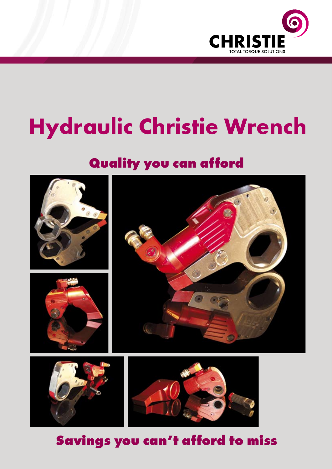

# **Hydraulic Christie Wrench**

## **Quality you can afford**



**Savings you can't afford to miss**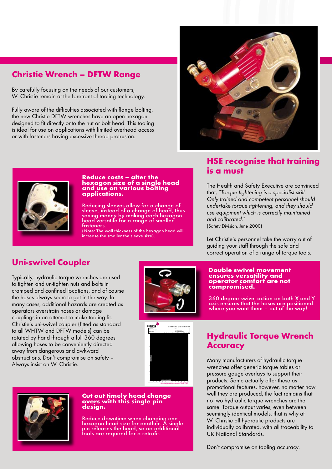## **Christie Wrench – DFTW Range**

By carefully focusing on the needs of our customers, W. Christie remain at the forefront of tooling technology.

Fully aware of the difficulties associated with flange bolting, the new Christie DFTW wrenches have an open hexagon designed to fit directly onto the nut or bolt head. This tooling is ideal for use on applications with limited overhead access or with fasteners having excessive thread protrusion.





#### **Reduce costs – alter the hexagon size of a single head and use on various bolting applications.**

Reducing sleeves allow for a change of sleeve, instead of a change of head, thus saving money by making each hexagon head versatile for a range of smaller fasteners.

(Note: The wall thickness of the hexagon head will increase the smaller the sleeve size).

## **HSE recognise that training is a must**

The Health and Safety Executive are convinced that, *"Torque tightening is a specialist skill. Only trained and competent personnel should undertake torque tightening, and they should use equipment which is correctly maintained and calibrated."* 

(Safety Division, June 2000)

Let Christie's personnel take the worry out of guiding your staff through the safe and correct operation of a range of torque tools.

## **Uni-swivel Coupler**

Typically, hydraulic torque wrenches are used to tighten and un-tighten nuts and bolts in cramped and confined locations, and of course the hoses always seem to get in the way. In many cases, additional hazards are created as operators overstrain hoses or damage couplings in an attempt to make tooling fit. Christie's uni-swivel coupler (fitted as standard to all WHTW and DFTW models) can be rotated by hand through a full 360 degrees allowing hoses to be conveniently directed away from dangerous and awkward obstructions. Don't compromise on safety – Always insist on W. Christie.



#### **Double swivel movement ensures versatility and operator comfort are not compromised.**

360 degree swivel action on both X and Y axis ensures that the hoses are positioned where you want them – out of the way!



#### **Cut out timely head change overs with this single pin design.**

Reduce downtime when changing one hexagon head size for another. A single pin releases the head, so no additional tools are required for a retrofit.

## **Hydraulic Torque Wrench Accuracy**

Many manufacturers of hydraulic torque wrenches offer generic torque tables or pressure gauge overlays to support their products. Some actually offer these as promotional features, however, no matter how well they are produced, the fact remains that no two hydraulic torque wrenches are the same. Torque output varies, even between seemingly identical models, that is why at W. Christie all hydraulic products are individually calibrated, with all traceability to UK National Standards.

Don't compromise on tooling accuracy.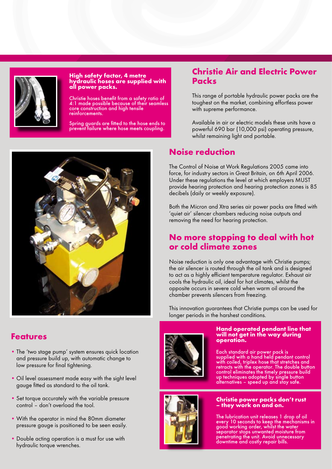

#### **High safety factor, 4 metre hydraulic hoses are supplied with all power packs.**

Christie hoses benefit from a safety ratio of 4:1 made possible because of their seamless core construction and high tensile reinforcements.

Spring guards are fitted to the hose ends to prevent failure where hose meets coupling.



## **Features**

- The 'two stage pump' system ensures quick location and pressure build up, with automatic change to low pressure for final tightening.
- Oil level assessment made easy with the sight level gauge fitted as standard to the oil tank.
- Set torque accurately with the variable pressure control – don't overload the tool.
- With the operator in mind the 80mm diameter pressure gauge is positioned to be seen easily.
- Double acting operation is a must for use with hydraulic torque wrenches.

## **Christie Air and Electric Power Packs**

This range of portable hydraulic power packs are the toughest on the market, combining effortless power with supreme performance.

Available in air or electric models these units have a powerful 690 bar (10,000 psi) operating pressure, whilst remaining light and portable.

## **Noise reduction**

The Control of Noise at Work Regulations 2005 came into force, for industry sectors in Great Britain, on 6th April 2006. Under these regulations the level at which employers MUST provide hearing protection and hearing protection zones is 85 decibels (daily or weekly exposure).

Both the Micron and Xtra series air power packs are fitted with 'quiet air' silencer chambers reducing noise outputs and removing the need for hearing protection.

## **No more stopping to deal with hot or cold climate zones**

Noise reduction is only one advantage with Christie pumps; the air silencer is routed through the oil tank and is designed to act as a highly efficient temperature regulator. Exhaust air cools the hydraulic oil, ideal for hot climates, whilst the opposite occurs in severe cold when warm oil around the chamber prevents silencers from freezing.

This innovation guarantees that Christie pumps can be used for longer periods in the harshest conditions.



#### **Hand operated pendant line that will not get in the way during operation.**

Each standard air power pack is supplied with a hand held pendant control with coiled, triplex hose that stretches and retracts with the operator. The double button control eliminates the timely pressure build up techniques adopted by single button alternatives – speed up and stay safe.



#### **Christie power packs don't rust – they work on and on.**

The lubrication unit releases 1 drop of oil every 10 seconds to keep the mechanisms in good working order, whilst the water separator stops unwanted moisture from penetrating the unit. Avoid unnecessary downtime and costly repair bills.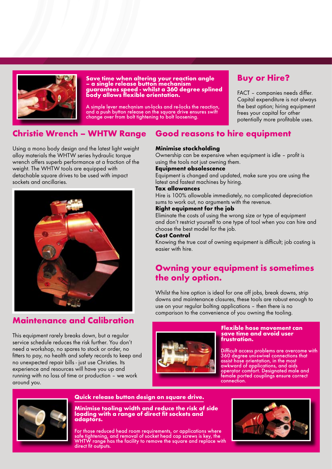

#### **Save time when altering your reaction angle – a single release button mechanism guarantees speed - whilst a 360 degree splined body allows flexible orientation.**

A simple lever mechanism un-locks and re-locks the reaction, and a push button release on the square drive ensures swift change over from bolt tightening to bolt loosening.

## **Buy or Hire?**

FACT – companies needs differ. Capital expenditure is not always the best option; hiring equipment frees your capital for other potentially more profitable uses.

#### **Christie Wrench – WHTW Range Good reasons to hire equipment**

Using a mono body design and the latest light weight alloy materials the WHTW series hydraulic torque wrench offers superb performance at a fraction of the weight. The WHTW tools are equipped with detachable square drives to be used with impact sockets and ancillaries.



### **Maintenance and Calibration**

This equipment rarely breaks down, but a regular service schedule reduces the risk further. You don't need a workshop, no spares to stock or order, no fitters to pay, no health and safety records to keep and no unexpected repair bills - just use Christies. Its experience and resources will have you up and running with no loss of time or production – we work around you.

#### **Minimise stockholding**

Ownership can be expensive when equipment is idle – profit is using the tools not just owning them.

#### **Equipment obsolescence**

Equipment is changed and updated, make sure you are using the latest and fastest machines by hiring.

#### **Tax allowances**

Hire is 100% allowable immediately, no complicated depreciation sums to work out, no arguments with the revenue.

#### **Right equipment for the job**

Eliminate the costs of using the wrong size or type of equipment and don't restrict yourself to one type of tool when you can hire and choose the best model for the job.

#### **Cost Control**

Knowing the true cost of owning equipment is difficult; job costing is easier with hire.

## **Owning your equipment is sometimes the only option.**

Whilst the hire option is ideal for one off jobs, break downs, strip downs and maintenance closures, these tools are robust enough to use on your regular bolting applications – then there is no comparison to the convenience of you owning the tooling.



#### **Flexible hose movement can save time and avoid user frustration.**

Difficult access problems are overcome with 360 degree uni-swivel connections that assist hose orientation, in the most awkward of applications, and aids operator comfort. Designated male and female ported couplings ensure correct connection.



### **Quick release button design on square drive.**

**Minimise tooling width and reduce the risk of side loading with a range of direct fit sockets and adaptors.**

For those reduced head room requirements, or applications where safe tightening, and removal of socket head cap screws is key, the WHTW range has the facility to remove the square and replace with direct fit outputs.

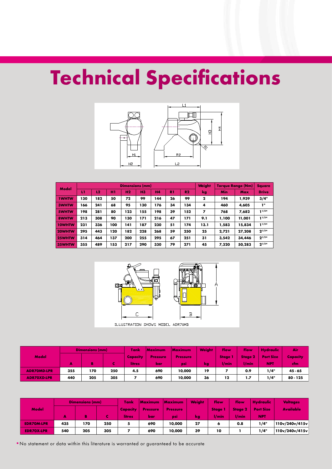# **Technical Specifications**



| Model         |     |     |     | <b>Dimensions (mm)</b> | <b>Weight</b> | <b>Torque Range (Nm)</b> | <b>Square</b> |                |              |            |        |              |
|---------------|-----|-----|-----|------------------------|---------------|--------------------------|---------------|----------------|--------------|------------|--------|--------------|
|               | LТ  | 12  | H1  | H <sub>2</sub>         | <b>H3</b>     | <b>H4</b>                | R1            | R <sub>2</sub> | kg           | <b>Min</b> | Max    | <b>Drive</b> |
| <b>1WHTW</b>  | 130 | 182 | 50  | 72                     | 99            | 144                      | 26            | 99             | $\mathbf{2}$ | 194        | 1,939  | 3/4"         |
| <b>3WHTW</b>  | 166 | 241 | 68  | 95                     | 130           | 176                      | 34            | 134            | 4            | 460        | 4,605  | ı"           |
| 5WHTW         | 198 | 281 | 80  | 123                    | 155           | 198                      | 39            | 152            | 7            | 768        | 7.682  | 1/2"         |
| 8WHTW         | 213 | 308 | 90  | 130                    | 171           | 216                      | 47            | 171            | 9.1          | 1,100      | 11,001 | 1/2"         |
| <b>10WHTW</b> | 231 | 336 | 100 | 141                    | 187           | 230                      | 51            | 174            | 13.1         | 1,583      | 15,834 | $1^{1/2n}$   |
| 20WHTW        | 295 | 443 | 120 | 182                    | 228           | 268                      | 59            | 250            | 25           | 2.721      | 27,208 | $2^{1/21}$   |
| <b>25WHTW</b> | 314 | 464 | 137 | 200                    | 255           | 295                      | 67            | 251            | 31           | 3.542      | 34,446 | $2^{1/21}$   |
| 35WHTW        | 355 | 489 | 153 | 217                    | 290           | 330                      | 79            | 271            | 45           | 7.320      | 50,283 | $2^{1/21}$   |



ILLUSTRATION SHOWS MODEL ADR70MD

|                    |     | <b>Dimensions (mm)</b> |     | Tank<br>Maximum |                 | <b>Weight</b><br>Maximum |    | Flow<br>Flow |                | <b>Hydraulic</b> | /Air/      |
|--------------------|-----|------------------------|-----|-----------------|-----------------|--------------------------|----|--------------|----------------|------------------|------------|
| Model              |     |                        |     | <b>Capacity</b> | <b>Pressure</b> | <b>Pressure</b>          |    | <b>Stage</b> | <b>Stage 2</b> | <b>Port Size</b> | Capacity   |
|                    | А   | Ъ                      |     | <b>litres</b>   | bar             | psi                      | kg | l/min        | /min           | <b>NPT</b>       | cfm.       |
| <b>ADR70MD-LPR</b> | 355 | 170                    | 250 | 4.5             | 690             | 10,000                   | 19 |              | 0.9            | 1/4"             | $45 - 65$  |
| <b>ADR70XD-LPR</b> | 440 | 205                    | 305 |                 | 690             | 10,000                   | 36 | 12           | 1.7            | 1/4"             | $80 - 125$ |

|                   |     | <b>Dimensions (mm)</b> |     | Tank     | Maximum         | <b>Maximum</b>  | <b>Weight</b> | Flow         | Flow           | <b>Hydraulic</b> | <b>Voltages</b>  |
|-------------------|-----|------------------------|-----|----------|-----------------|-----------------|---------------|--------------|----------------|------------------|------------------|
| Model             |     |                        |     | Capacity | <b>Pressure</b> | <b>Pressure</b> |               | <b>Stage</b> | <b>Stage 2</b> | <b>Port Size</b> | <b>Available</b> |
|                   | А   |                        |     | litres   | bar             | <b>DSI</b>      | kg            | /min         | $1/m$ in       | <b>NPT</b>       |                  |
| <b>EDR70M-LPR</b> | 435 | 170                    | 250 | 5        | 690             | 10,000          | 27            | О            | 0.8            | 1/4"             | 110v/240v/415v   |
| <b>EDR70X-LPR</b> | 540 | 205                    | 305 |          | 690             | 10,000          | 39            | 10           |                | 1/4"             | 110v/240v/415v   |

•No statement or data within this literature is warranted or guaranteed to be accurate